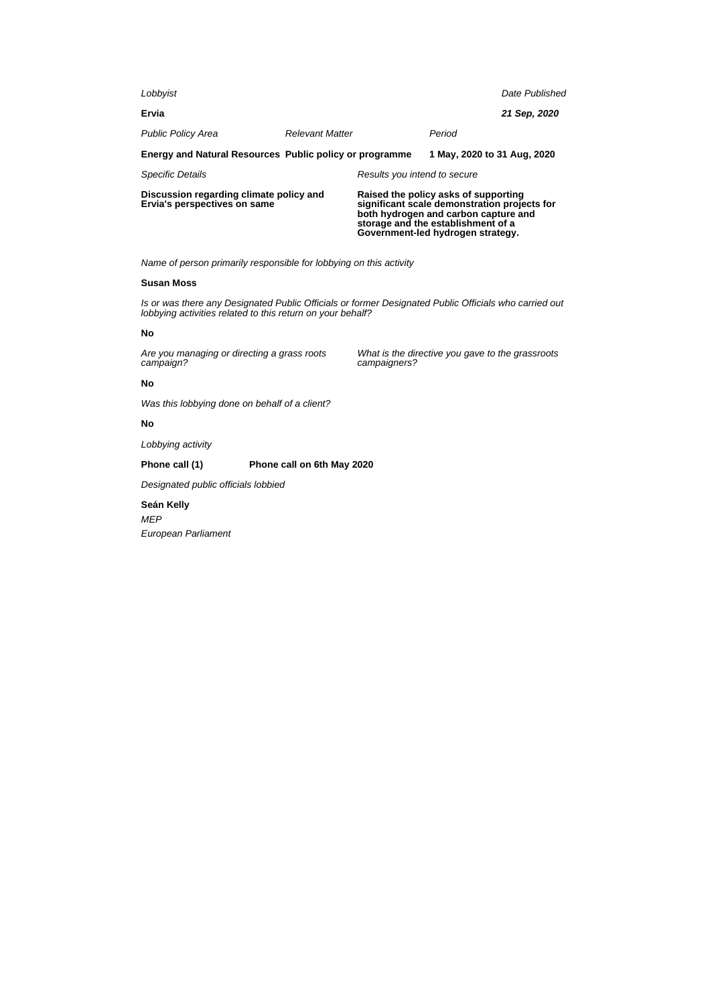| Lobbyist                                                                |                        |                                                                                                                                                                    |                             | Date Published |
|-------------------------------------------------------------------------|------------------------|--------------------------------------------------------------------------------------------------------------------------------------------------------------------|-----------------------------|----------------|
| Ervia                                                                   |                        |                                                                                                                                                                    |                             | 21 Sep, 2020   |
| <b>Public Policy Area</b>                                               | <b>Relevant Matter</b> |                                                                                                                                                                    | Period                      |                |
| Energy and Natural Resources Public policy or programme                 |                        |                                                                                                                                                                    | 1 May, 2020 to 31 Aug, 2020 |                |
| <b>Specific Details</b>                                                 |                        | Results you intend to secure                                                                                                                                       |                             |                |
| Discussion regarding climate policy and<br>Ervia's perspectives on same |                        | Raised the policy asks of supporting<br>significant scale demonstration projects for<br>both hydrogen and carbon capture and<br>storage and the establishment of a |                             |                |

# **Susan Moss**

Is or was there any Designated Public Officials or former Designated Public Officials who carried out lobbying activities related to this return on your behalf?

# **No**

Are you managing or directing a grass roots campaign?

What is the directive you gave to the grassroots campaigners?

**Government-led hydrogen strategy.**

# **No**

Was this lobbying done on behalf of a client?

# **No**

Lobbying activity

# **Phone call (1) Phone call on 6th May 2020**

Designated public officials lobbied

**Seán Kelly** MEP

European Parliament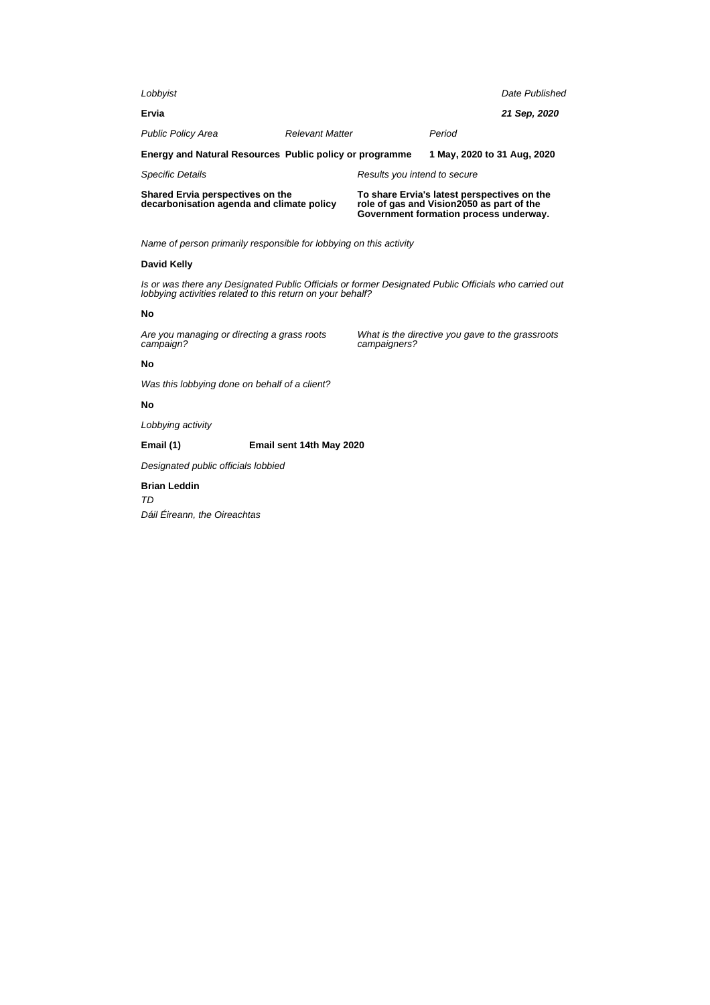| Shared Ervia perspectives on the<br>decarbonisation agenda and climate policy |                        |                              | To share Ervia's latest perspectives on the<br>role of gas and Vision2050 as part of the |                |
|-------------------------------------------------------------------------------|------------------------|------------------------------|------------------------------------------------------------------------------------------|----------------|
| <b>Specific Details</b>                                                       |                        | Results you intend to secure |                                                                                          |                |
| Energy and Natural Resources Public policy or programme                       |                        |                              | 1 May, 2020 to 31 Aug, 2020                                                              |                |
| <b>Public Policy Area</b>                                                     | <b>Relevant Matter</b> |                              | Period                                                                                   |                |
| Ervia                                                                         |                        |                              |                                                                                          | 21 Sep. 2020   |
| Lobbyist                                                                      |                        |                              |                                                                                          | Date Published |

**Government formation process underway.**

What is the directive you gave to the grassroots

Name of person primarily responsible for lobbying on this activity

#### **David Kelly**

Is or was there any Designated Public Officials or former Designated Public Officials who carried out lobbying activities related to this return on your behalf?

campaigners?

#### **No**

Are you managing or directing a grass roots campaign?

# **No**

Was this lobbying done on behalf of a client?

# **No**

Lobbying activity

# **Email (1) Email sent 14th May 2020**

Designated public officials lobbied

# **Brian Leddin**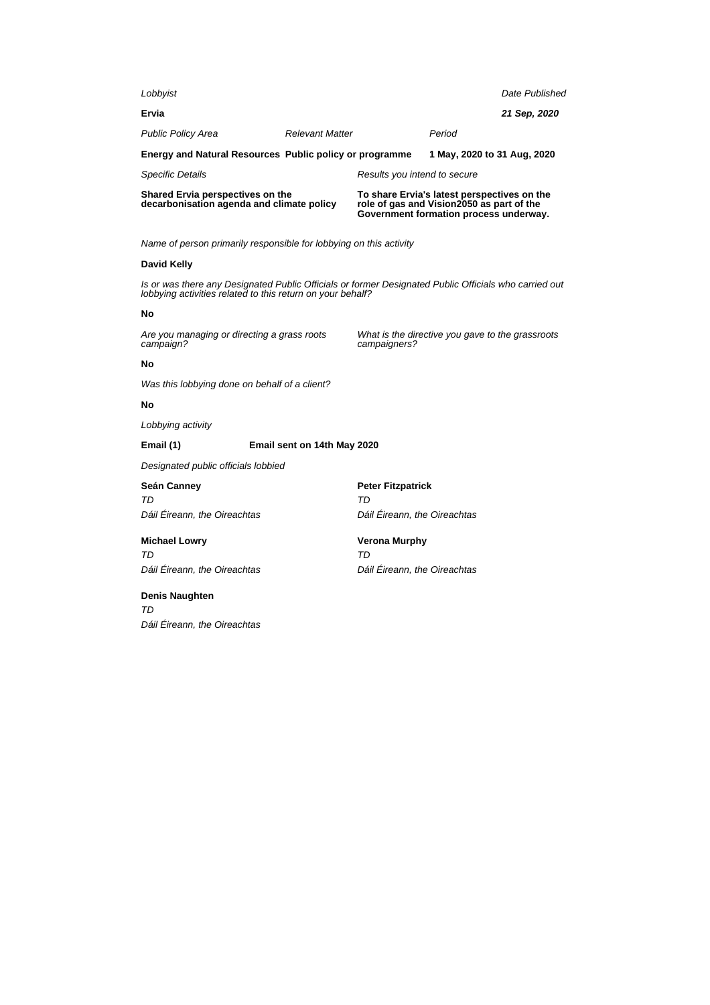| Lobbyist                                                                      |                        |                              |                                                                                          | Date Published |
|-------------------------------------------------------------------------------|------------------------|------------------------------|------------------------------------------------------------------------------------------|----------------|
| Ervia                                                                         |                        |                              |                                                                                          | 21 Sep, 2020   |
| <b>Public Policy Area</b>                                                     | <b>Relevant Matter</b> |                              | Period                                                                                   |                |
| Energy and Natural Resources Public policy or programme                       |                        |                              | 1 May, 2020 to 31 Aug, 2020                                                              |                |
| <b>Specific Details</b>                                                       |                        | Results you intend to secure |                                                                                          |                |
| Shared Ervia perspectives on the<br>decarbonisation agenda and climate policy |                        |                              | To share Ervia's latest perspectives on the<br>role of gas and Vision2050 as part of the |                |

#### **David Kelly**

Is or was there any Designated Public Officials or former Designated Public Officials who carried out lobbying activities related to this return on your behalf?

#### **No**

Are you managing or directing a grass roots campaign?

What is the directive you gave to the grassroots campaigners?

**Government formation process underway.**

#### **No**

Was this lobbying done on behalf of a client?

#### **No**

Lobbying activity

**Email (1) Email sent on 14th May 2020**

Designated public officials lobbied

# **Seán Canney** TD

**Peter Fitzpatrick** TD Dáil Éireann, the Oireachtas

# **Michael Lowry**

TD Dáil Éireann, the Oireachtas

Dáil Éireann, the Oireachtas

**Verona Murphy** TD Dáil Éireann, the Oireachtas

# **Denis Naughten**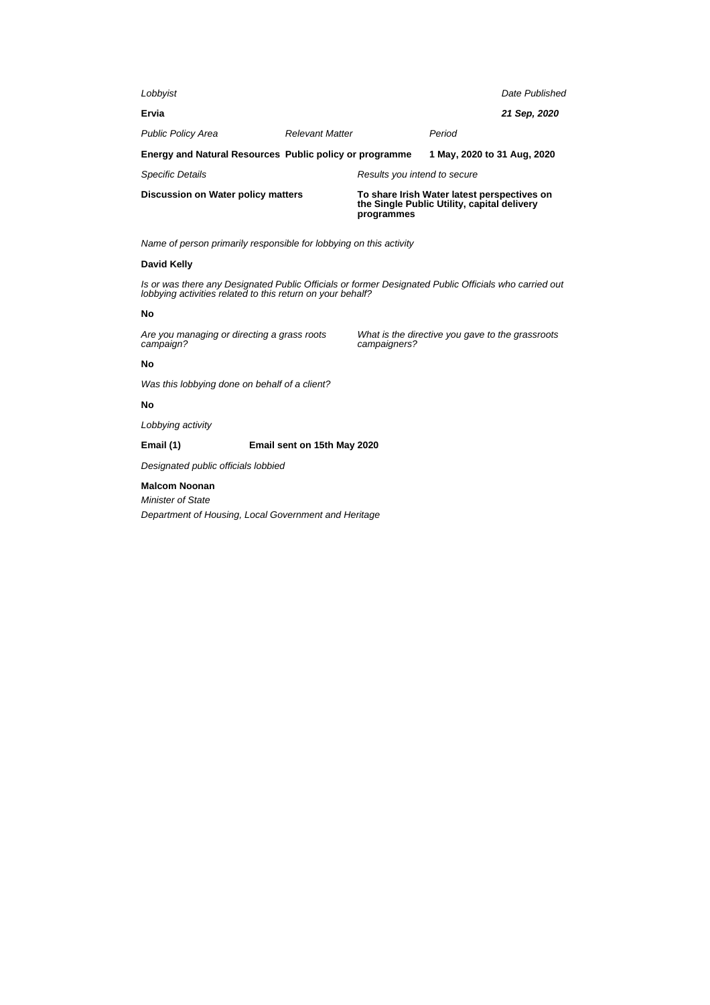| Lobbyist                                                |                        |                                                                                                          |                             | Date Published |
|---------------------------------------------------------|------------------------|----------------------------------------------------------------------------------------------------------|-----------------------------|----------------|
| Ervia                                                   |                        |                                                                                                          |                             | 21 Sep, 2020   |
| <b>Public Policy Area</b>                               | <b>Relevant Matter</b> |                                                                                                          | Period                      |                |
| Energy and Natural Resources Public policy or programme |                        |                                                                                                          | 1 May, 2020 to 31 Aug, 2020 |                |
| <b>Specific Details</b>                                 |                        | Results you intend to secure                                                                             |                             |                |
| Discussion on Water policy matters                      |                        | To share Irish Water latest perspectives on<br>the Single Public Utility, capital delivery<br>programmes |                             |                |

#### **David Kelly**

Is or was there any Designated Public Officials or former Designated Public Officials who carried out lobbying activities related to this return on your behalf?

#### **No**

Are you managing or directing a grass roots campaign?

What is the directive you gave to the grassroots campaigners?

# **No**

Was this lobbying done on behalf of a client?

# **No**

Lobbying activity

**Email (1) Email sent on 15th May 2020**

Designated public officials lobbied

#### **Malcom Noonan**

Minister of State

Department of Housing, Local Government and Heritage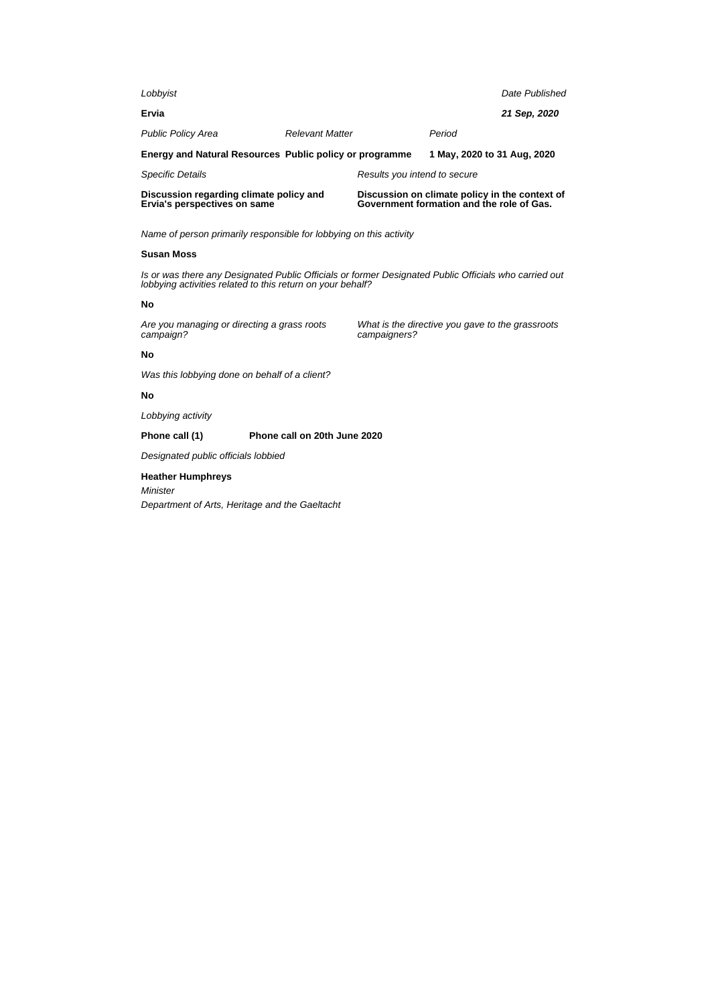| Discussion regarding climate policy and                 |                        |                              | Discussion on climate policy in the context of |                |
|---------------------------------------------------------|------------------------|------------------------------|------------------------------------------------|----------------|
| <b>Specific Details</b>                                 |                        | Results you intend to secure |                                                |                |
| Energy and Natural Resources Public policy or programme |                        |                              | 1 May, 2020 to 31 Aug, 2020                    |                |
| <b>Public Policy Area</b>                               | <b>Relevant Matter</b> |                              | Period                                         |                |
| Ervia                                                   |                        |                              |                                                | 21 Sep, 2020   |
| Lobbyist                                                |                        |                              |                                                | Date Published |

#### **Susan Moss**

**Ervia's perspectives on same**

Is or was there any Designated Public Officials or former Designated Public Officials who carried out lobbying activities related to this return on your behalf?

#### **No**

Are you managing or directing a grass roots campaign?

What is the directive you gave to the grassroots campaigners?

**Government formation and the role of Gas.**

# **No**

Was this lobbying done on behalf of a client?

#### **No**

Lobbying activity

**Phone call (1) Phone call on 20th June 2020**

Designated public officials lobbied

# **Heather Humphreys**

Minister Department of Arts, Heritage and the Gaeltacht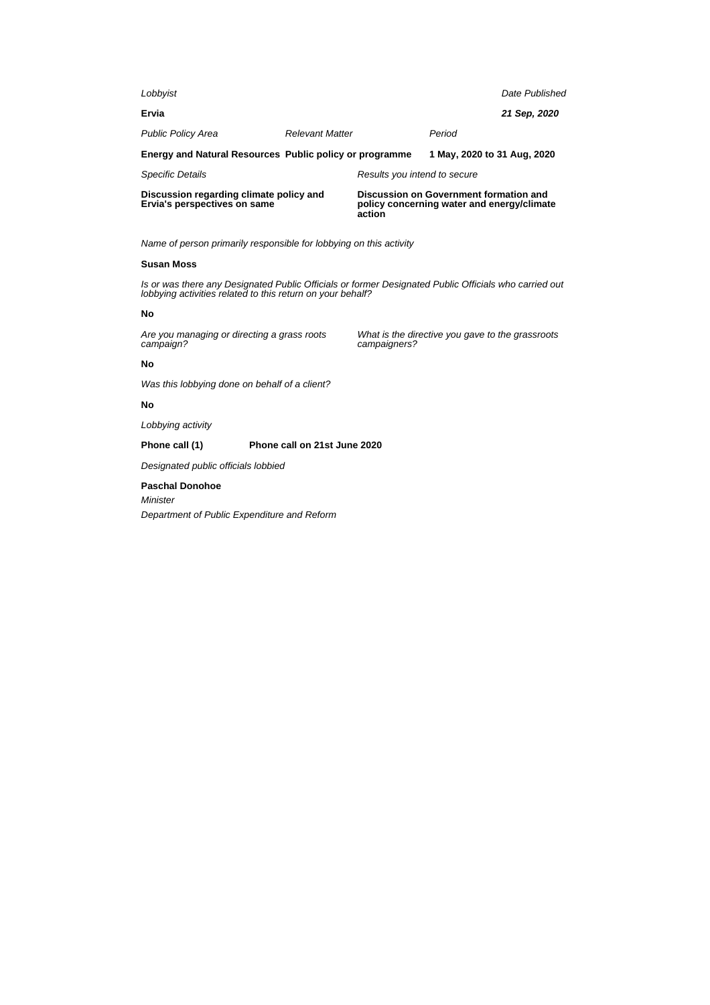| Discussion regarding climate policy and<br>Ervia's perspectives on same |                        | action                       | Discussion on Government formation and<br>policy concerning water and energy/climate |                |
|-------------------------------------------------------------------------|------------------------|------------------------------|--------------------------------------------------------------------------------------|----------------|
| <b>Specific Details</b>                                                 |                        | Results you intend to secure |                                                                                      |                |
| Energy and Natural Resources Public policy or programme                 |                        |                              | 1 May, 2020 to 31 Aug, 2020                                                          |                |
| <b>Public Policy Area</b>                                               | <b>Relevant Matter</b> |                              | Period                                                                               |                |
| Ervia                                                                   |                        |                              |                                                                                      | 21 Sep. 2020   |
| Lobbyist                                                                |                        |                              |                                                                                      | Date Published |

#### **Susan Moss**

Is or was there any Designated Public Officials or former Designated Public Officials who carried out lobbying activities related to this return on your behalf?

campaigners?

What is the directive you gave to the grassroots

#### **No**

Are you managing or directing a grass roots campaign?

# **No**

Was this lobbying done on behalf of a client?

# **No**

Lobbying activity

**Phone call (1) Phone call on 21st June 2020**

Designated public officials lobbied

#### **Paschal Donohoe**

Minister

Department of Public Expenditure and Reform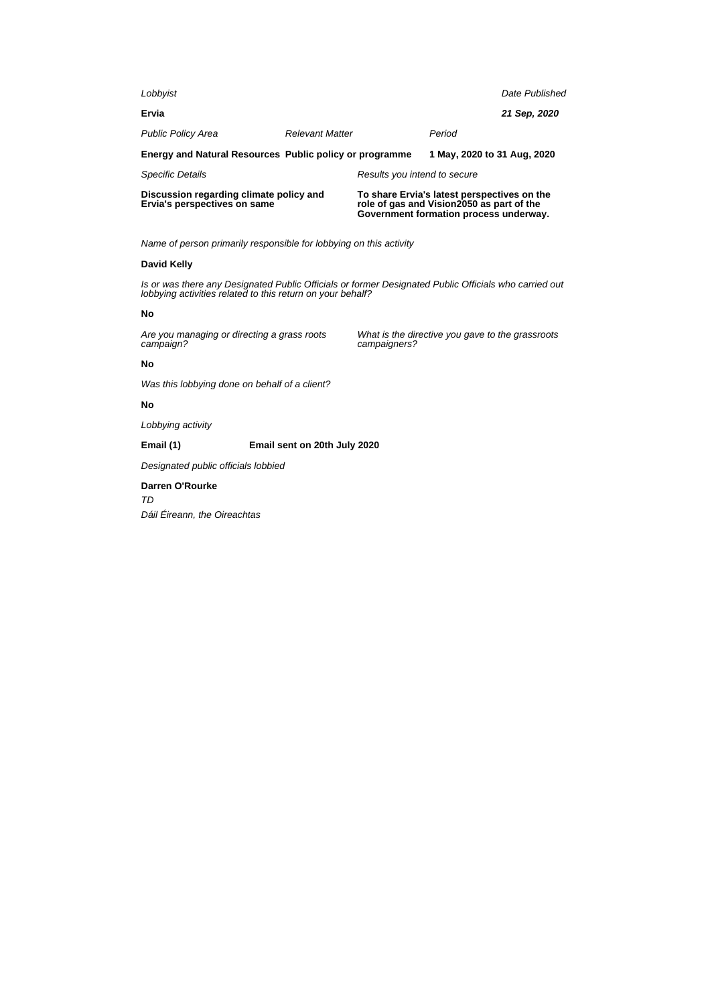| Lobbyist                                                                |                        |                              |                                                                                                                                   | Date Published |
|-------------------------------------------------------------------------|------------------------|------------------------------|-----------------------------------------------------------------------------------------------------------------------------------|----------------|
| Ervia                                                                   |                        |                              |                                                                                                                                   | 21 Sep, 2020   |
| <b>Public Policy Area</b>                                               | <b>Relevant Matter</b> |                              | Period                                                                                                                            |                |
| Energy and Natural Resources Public policy or programme                 |                        |                              | 1 May, 2020 to 31 Aug, 2020                                                                                                       |                |
| <b>Specific Details</b>                                                 |                        | Results you intend to secure |                                                                                                                                   |                |
| Discussion regarding climate policy and<br>Ervia's perspectives on same |                        |                              | To share Ervia's latest perspectives on the<br>role of gas and Vision2050 as part of the<br>Covernment formation process underway |                |

**Government formation process underway.**

What is the directive you gave to the grassroots

Name of person primarily responsible for lobbying on this activity

#### **David Kelly**

Is or was there any Designated Public Officials or former Designated Public Officials who carried out lobbying activities related to this return on your behalf?

campaigners?

#### **No**

Are you managing or directing a grass roots campaign?

# **No**

Was this lobbying done on behalf of a client?

# **No**

Lobbying activity

**Email (1) Email sent on 20th July 2020**

Designated public officials lobbied

# **Darren O'Rourke** TD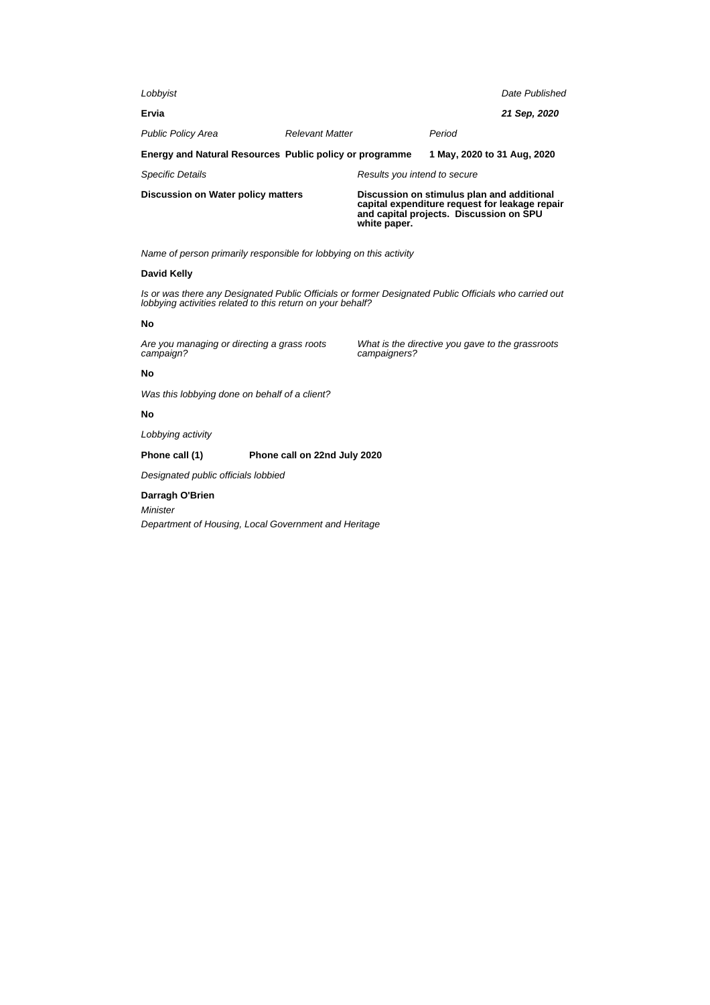| Lobbyist                                                |                        |                                                                                                                                                         |                             | Date Published |
|---------------------------------------------------------|------------------------|---------------------------------------------------------------------------------------------------------------------------------------------------------|-----------------------------|----------------|
| Ervia                                                   |                        |                                                                                                                                                         |                             | 21 Sep, 2020   |
| <b>Public Policy Area</b>                               | <b>Relevant Matter</b> |                                                                                                                                                         | Period                      |                |
| Energy and Natural Resources Public policy or programme |                        |                                                                                                                                                         | 1 May, 2020 to 31 Aug, 2020 |                |
| <b>Specific Details</b>                                 |                        | Results you intend to secure                                                                                                                            |                             |                |
| Discussion on Water policy matters                      |                        | Discussion on stimulus plan and additional<br>capital expenditure request for leakage repair<br>and capital projects. Discussion on SPU<br>white paper. |                             |                |

# **David Kelly**

Is or was there any Designated Public Officials or former Designated Public Officials who carried out lobbying activities related to this return on your behalf?

# **No**

Are you managing or directing a grass roots campaign?

What is the directive you gave to the grassroots campaigners?

# **No**

Was this lobbying done on behalf of a client?

#### **No**

Lobbying activity

# **Phone call (1) Phone call on 22nd July 2020**

Designated public officials lobbied

# **Darragh O'Brien**

Minister

Department of Housing, Local Government and Heritage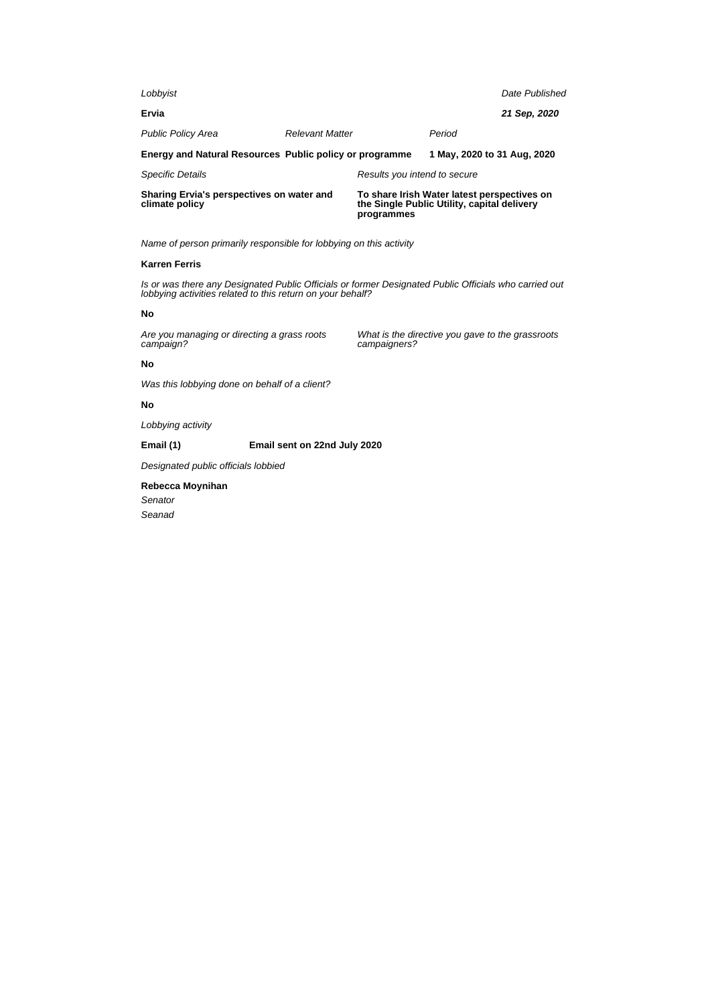| Sharing Ervia's perspectives on water and<br>climate policy |                        | programmes                   | To share Irish Water latest perspectives on<br>the Single Public Utility, capital delivery |                |
|-------------------------------------------------------------|------------------------|------------------------------|--------------------------------------------------------------------------------------------|----------------|
| <b>Specific Details</b>                                     |                        | Results you intend to secure |                                                                                            |                |
| Energy and Natural Resources Public policy or programme     |                        |                              | 1 May, 2020 to 31 Aug, 2020                                                                |                |
| <b>Public Policy Area</b>                                   | <b>Relevant Matter</b> |                              | Period                                                                                     |                |
| Ervia                                                       |                        |                              |                                                                                            | 21 Sep. 2020   |
| Lobbyist                                                    |                        |                              |                                                                                            | Date Published |

# **Karren Ferris**

Is or was there any Designated Public Officials or former Designated Public Officials who carried out lobbying activities related to this return on your behalf?

campaigners?

What is the directive you gave to the grassroots

#### **No**

Are you managing or directing a grass roots campaign?

#### **No**

Was this lobbying done on behalf of a client?

# **No**

Lobbying activity

**Email (1) Email sent on 22nd July 2020**

Designated public officials lobbied

# **Rebecca Moynihan** Senator

Seanad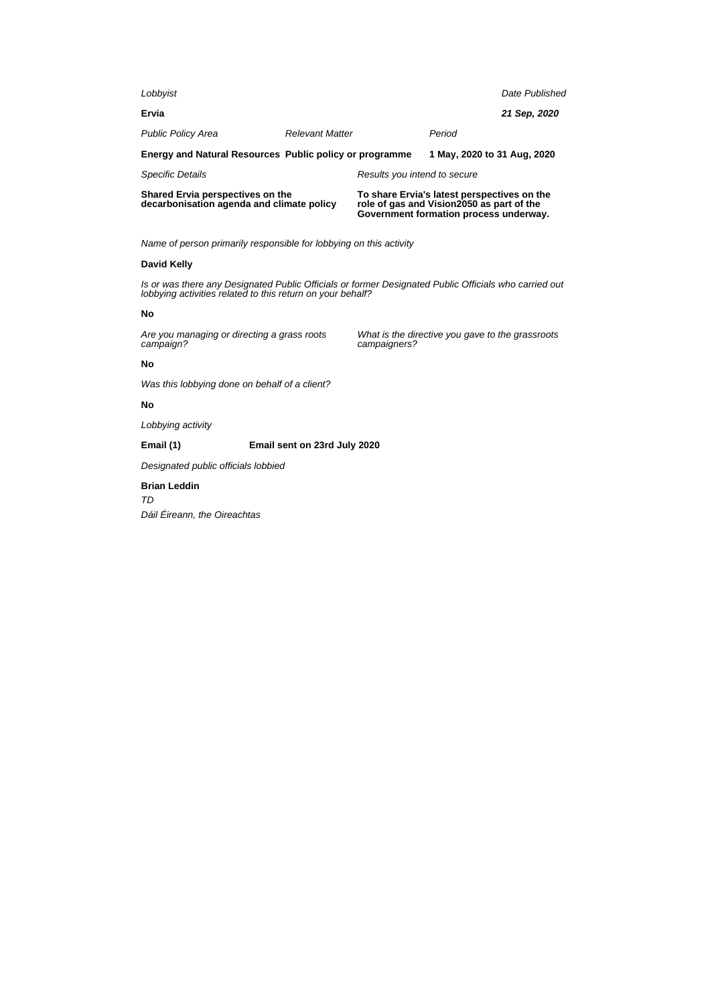| Shared Ervia perspectives on the<br>decarbonisation agenda and climate policy |                        |                              | To share Ervia's latest perspectives on the<br>role of gas and Vision2050 as part of the |                |
|-------------------------------------------------------------------------------|------------------------|------------------------------|------------------------------------------------------------------------------------------|----------------|
| <b>Specific Details</b>                                                       |                        | Results you intend to secure |                                                                                          |                |
| Energy and Natural Resources Public policy or programme                       |                        |                              | 1 May, 2020 to 31 Aug, 2020                                                              |                |
| <b>Public Policy Area</b>                                                     | <b>Relevant Matter</b> |                              | Period                                                                                   |                |
| Ervia                                                                         |                        |                              |                                                                                          | 21 Sep. 2020   |
| Lobbyist                                                                      |                        |                              |                                                                                          | Date Published |

**Government formation process underway.**

What is the directive you gave to the grassroots

Name of person primarily responsible for lobbying on this activity

#### **David Kelly**

Is or was there any Designated Public Officials or former Designated Public Officials who carried out lobbying activities related to this return on your behalf?

campaigners?

#### **No**

Are you managing or directing a grass roots campaign?

# **No**

Was this lobbying done on behalf of a client?

# **No**

Lobbying activity

**Email (1) Email sent on 23rd July 2020**

Designated public officials lobbied

# **Brian Leddin**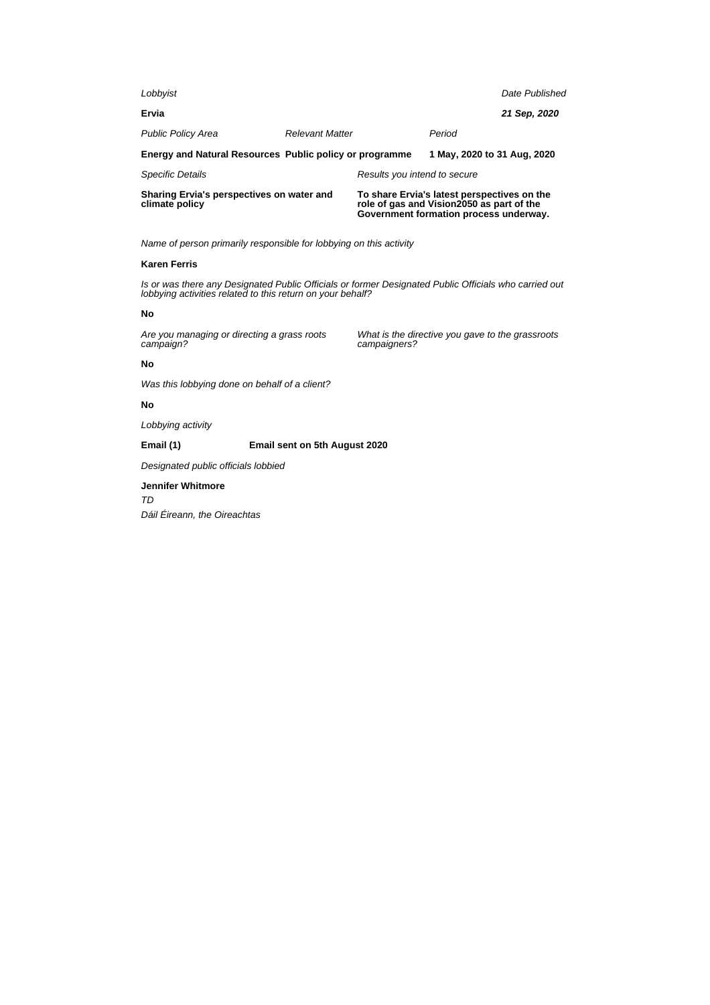| Sharing Ervia's perspectives on water and<br>climate policy |                        |                              | To share Ervia's latest perspectives on the<br>role of gas and Vision2050 as part of the<br>Government formation process underway. |                |
|-------------------------------------------------------------|------------------------|------------------------------|------------------------------------------------------------------------------------------------------------------------------------|----------------|
| <b>Specific Details</b>                                     |                        | Results you intend to secure |                                                                                                                                    |                |
| Energy and Natural Resources Public policy or programme     |                        |                              | 1 May, 2020 to 31 Aug, 2020                                                                                                        |                |
| <b>Public Policy Area</b>                                   | <b>Relevant Matter</b> |                              | Period                                                                                                                             |                |
| Ervia                                                       |                        |                              |                                                                                                                                    | 21 Sep. 2020   |
| Lobbyist                                                    |                        |                              |                                                                                                                                    | Date Published |

# **Karen Ferris**

Is or was there any Designated Public Officials or former Designated Public Officials who carried out lobbying activities related to this return on your behalf?

campaigners?

What is the directive you gave to the grassroots

#### **No**

Are you managing or directing a grass roots campaign?

# **No**

Was this lobbying done on behalf of a client?

# **No**

Lobbying activity

**Email (1) Email sent on 5th August 2020**

Designated public officials lobbied

# **Jennifer Whitmore** TD